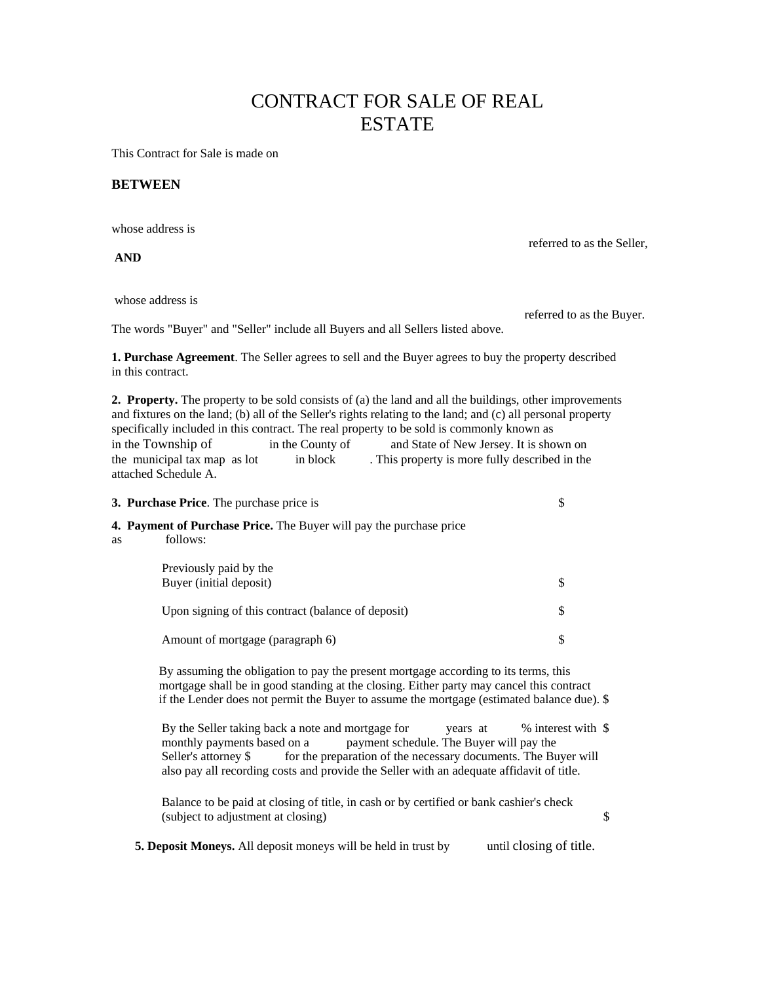# CONTRACT FOR SALE OF REAL **ESTATE**

This Contract for Sale is made on

## **BETWEEN**

whose address is

**AND** 

whose address is

referred to as the Seller,

referred to as the Buyer.

The words "Buyer" and "Seller" include all Buyers and all Sellers listed above.

**1. Purchase Agreement**. The Seller agrees to sell and the Buyer agrees to buy the property described in this contract.

**2. Property.** The property to be sold consists of (a) the land and all the buildings, other improvements and fixtures on the land; (b) all of the Seller's rights relating to the land; and (c) all personal property specifically included in this contract. The real property to be sold is commonly known as in the Township of in the County of and State of New Jersey. It is shown on the municipal tax map as lot in block This property is more fully described in the . This property is more fully described in the attached Schedule A.

| <b>3. Purchase Price.</b> The purchase price is |                                                                                        |  |
|-------------------------------------------------|----------------------------------------------------------------------------------------|--|
| as                                              | <b>4. Payment of Purchase Price.</b> The Buyer will pay the purchase price<br>follows: |  |
|                                                 | Previously paid by the<br>Buyer (initial deposit)                                      |  |

| Upon signing of this contract (balance of deposit) |  |
|----------------------------------------------------|--|
| Amount of mortgage (paragraph 6)                   |  |

By assuming the obligation to pay the present mortgage according to its terms, this mortgage shall be in good standing at the closing. Either party may cancel this contract if the Lender does not permit the Buyer to assume the mortgage (estimated balance due). \$

By the Seller taking back a note and mortgage for years at % interest with \$ monthly payments based on a payment schedule. The Buyer will pay the Seller's attorney \$ for the preparation of the necessary documents. The Buyer will also pay all recording costs and provide the Seller with an adequate affidavit of title.

Balance to be paid at closing of title, in cash or by certified or bank cashier's check (subject to adjustment at closing) \$

**5. Deposit Moneys.** All deposit moneys will be held in trust by until closing of title.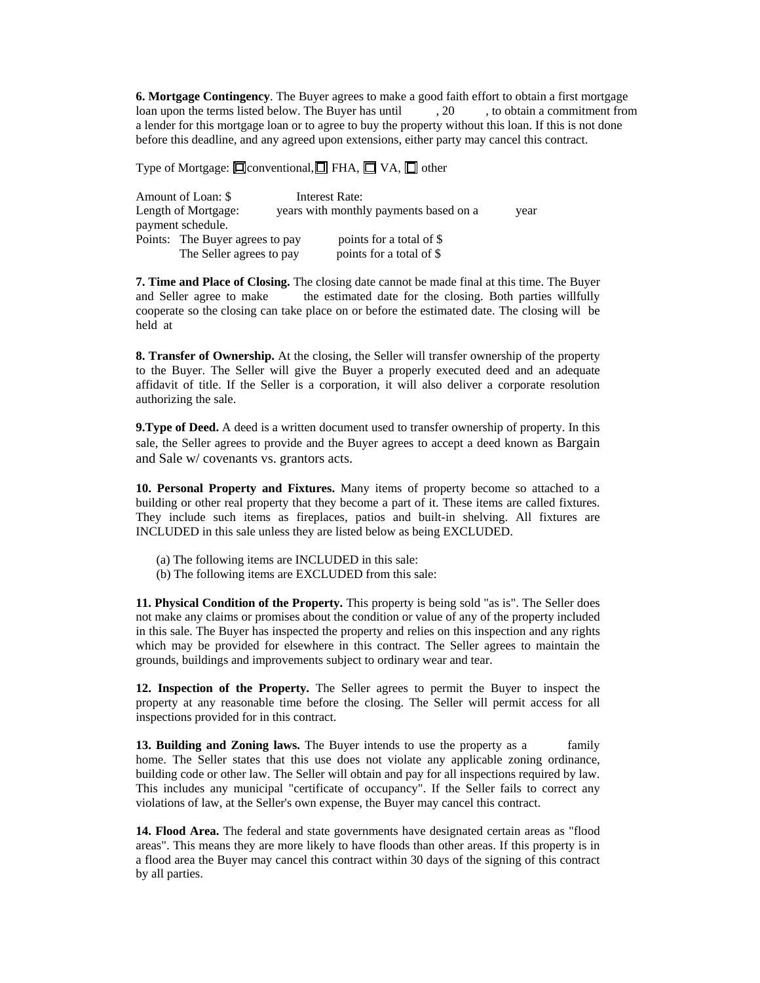**6. Mortgage Contingency**. The Buyer agrees to make a good faith effort to obtain a first mortgage loan upon the terms listed below. The Buyer has until , 20 , to obtain a commitment from a lender for this mortgage loan or to agree to buy the property without this loan. If this is not done before this deadline, and any agreed upon extensions, either party may cancel this contract.

Type of Mortgage:  $\Box$  conventional,  $\Box$  FHA,  $\Box$  VA,  $\Box$  other

| Amount of Loan: \$              | Interest Rate: |                                        |      |
|---------------------------------|----------------|----------------------------------------|------|
| Length of Mortgage:             |                | years with monthly payments based on a | year |
| payment schedule.               |                |                                        |      |
| Points: The Buyer agrees to pay |                | points for a total of \$               |      |
| The Seller agrees to pay        |                | points for a total of \$               |      |

**7. Time and Place of Closing.** The closing date cannot be made final at this time. The Buyer and Seller agree to make the estimated date for the closing. Both parties willfully cooperate so the closing can take place on or before the estimated date. The closing will be held at

**8. Transfer of Ownership.** At the closing, the Seller will transfer ownership of the property to the Buyer. The Seller will give the Buyer a properly executed deed and an adequate affidavit of title. If the Seller is a corporation, it will also deliver a corporate resolution authorizing the sale.

**9. Type of Deed.** A deed is a written document used to transfer ownership of property. In this sale, the Seller agrees to provide and the Buyer agrees to accept a deed known as Bargain and Sale w/ covenants vs. grantors acts.

**10. Personal Property and Fixtures.** Many items of property become so attached to a building or other real property that they become a part of it. These items are called fixtures. They include such items as fireplaces, patios and built-in shelving. All fixtures are INCLUDED in this sale unless they are listed below as being EXCLUDED.

- (a) The following items are INCLUDED in this sale:
- (b) The following items are EXCLUDED from this sale:

**11. Physical Condition of the Property.** This property is being sold "as is". The Seller does not make any claims or promises about the condition or value of any of the property included in this sale. The Buyer has inspected the property and relies on this inspection and any rights which may be provided for elsewhere in this contract. The Seller agrees to maintain the grounds, buildings and improvements subject to ordinary wear and tear.

**12. Inspection of the Property.** The Seller agrees to permit the Buyer to inspect the property at any reasonable time before the closing. The Seller will permit access for all inspections provided for in this contract.

**13. Building and Zoning laws.** The Buyer intends to use the property as a family home. The Seller states that this use does not violate any applicable zoning ordinance, building code or other law. The Seller will obtain and pay for all inspections required by law. This includes any municipal "certificate of occupancy". If the Seller fails to correct any violations of law, at the Seller's own expense, the Buyer may cancel this contract.

**14. Flood Area.** The federal and state governments have designated certain areas as "flood areas". This means they are more likely to have floods than other areas. If this property is in a flood area the Buyer may cancel this contract within 30 days of the signing of this contract by all parties.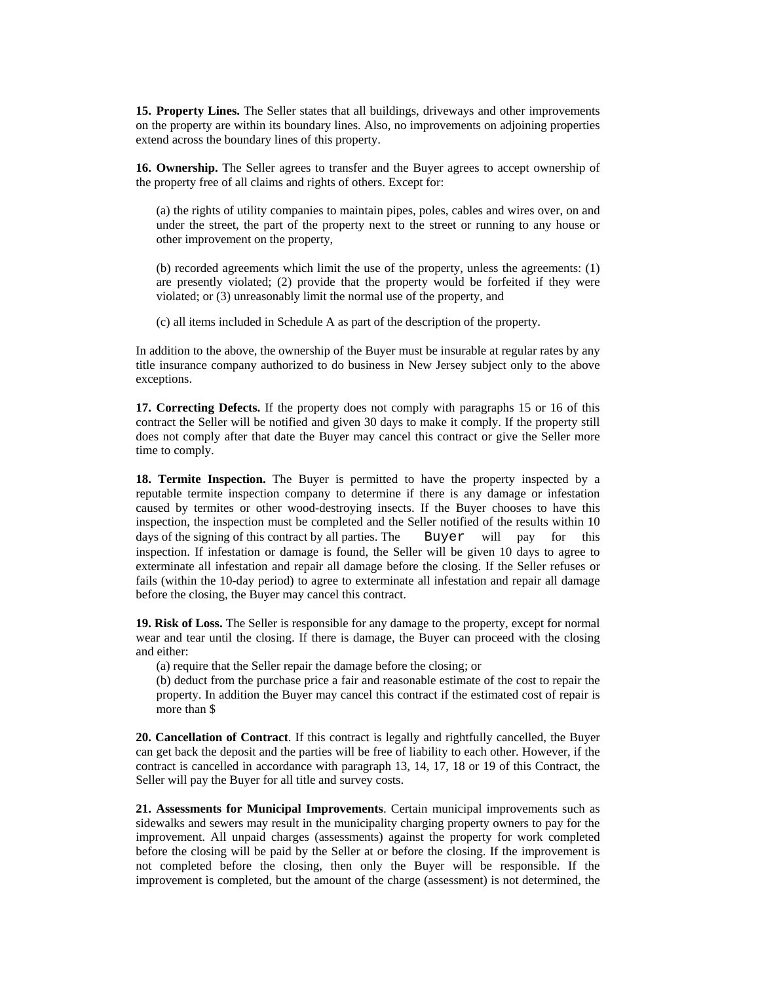**15. Property Lines.** The Seller states that all buildings, driveways and other improvements on the property are within its boundary lines. Also, no improvements on adjoining properties extend across the boundary lines of this property.

**16. Ownership.** The Seller agrees to transfer and the Buyer agrees to accept ownership of the property free of all claims and rights of others. Except for:

(a) the rights of utility companies to maintain pipes, poles, cables and wires over, on and under the street, the part of the property next to the street or running to any house or other improvement on the property,

(b) recorded agreements which limit the use of the property, unless the agreements: (1) are presently violated; (2) provide that the property would be forfeited if they were violated; or (3) unreasonably limit the normal use of the property, and

(c) all items included in Schedule A as part of the description of the property.

In addition to the above, the ownership of the Buyer must be insurable at regular rates by any title insurance company authorized to do business in New Jersey subject only to the above exceptions.

**17. Correcting Defects.** If the property does not comply with paragraphs 15 or 16 of this contract the Seller will be notified and given 30 days to make it comply. If the property still does not comply after that date the Buyer may cancel this contract or give the Seller more time to comply.

**18. Termite Inspection.** The Buyer is permitted to have the property inspected by a reputable termite inspection company to determine if there is any damage or infestation caused by termites or other wood-destroying insects. If the Buyer chooses to have this inspection, the inspection must be completed and the Seller notified of the results within 10 days of the signing of this contract by all parties. The Buyer will pay for this inspection. If infestation or damage is found, the Seller will be given 10 days to agree to exterminate all infestation and repair all damage before the closing. If the Seller refuses or fails (within the 10-day period) to agree to exterminate all infestation and repair all damage before the closing, the Buyer may cancel this contract.

**19. Risk of Loss.** The Seller is responsible for any damage to the property, except for normal wear and tear until the closing. If there is damage, the Buyer can proceed with the closing and either:

(a) require that the Seller repair the damage before the closing; or

(b) deduct from the purchase price a fair and reasonable estimate of the cost to repair the property. In addition the Buyer may cancel this contract if the estimated cost of repair is more than \$

**20. Cancellation of Contract**. If this contract is legally and rightfully cancelled, the Buyer can get back the deposit and the parties will be free of liability to each other. However, if the contract is cancelled in accordance with paragraph 13, 14, 17, 18 or 19 of this Contract, the Seller will pay the Buyer for all title and survey costs.

**21. Assessments for Municipal Improvements**. Certain municipal improvements such as sidewalks and sewers may result in the municipality charging property owners to pay for the improvement. All unpaid charges (assessments) against the property for work completed before the closing will be paid by the Seller at or before the closing. If the improvement is not completed before the closing, then only the Buyer will be responsible. If the improvement is completed, but the amount of the charge (assessment) is not determined, the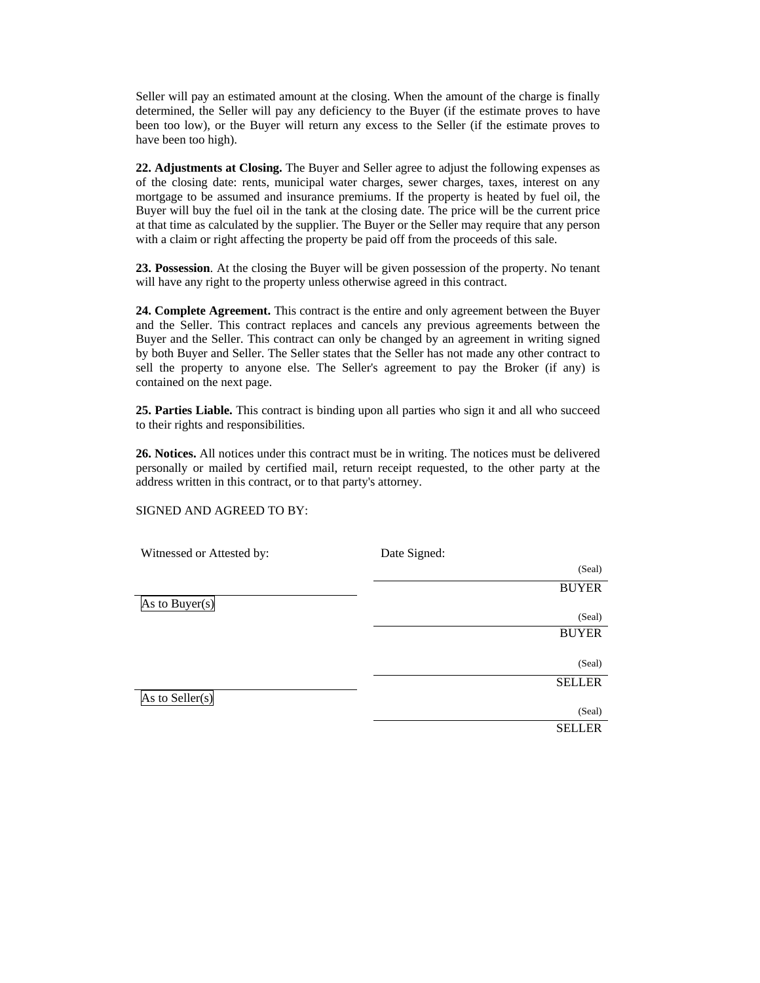Seller will pay an estimated amount at the closing. When the amount of the charge is finally determined, the Seller will pay any deficiency to the Buyer (if the estimate proves to have been too low), or the Buyer will return any excess to the Seller (if the estimate proves to have been too high).

**22. Adjustments at Closing.** The Buyer and Seller agree to adjust the following expenses as of the closing date: rents, municipal water charges, sewer charges, taxes, interest on any mortgage to be assumed and insurance premiums. If the property is heated by fuel oil, the Buyer will buy the fuel oil in the tank at the closing date. The price will be the current price at that time as calculated by the supplier. The Buyer or the Seller may require that any person with a claim or right affecting the property be paid off from the proceeds of this sale.

**23. Possession**. At the closing the Buyer will be given possession of the property. No tenant will have any right to the property unless otherwise agreed in this contract.

**24. Complete Agreement.** This contract is the entire and only agreement between the Buyer and the Seller. This contract replaces and cancels any previous agreements between the Buyer and the Seller. This contract can only be changed by an agreement in writing signed by both Buyer and Seller. The Seller states that the Seller has not made any other contract to sell the property to anyone else. The Seller's agreement to pay the Broker (if any) is contained on the next page.

**25. Parties Liable.** This contract is binding upon all parties who sign it and all who succeed to their rights and responsibilities.

**26. Notices.** All notices under this contract must be in writing. The notices must be delivered personally or mailed by certified mail, return receipt requested, to the other party at the address written in this contract, or to that party's attorney.

#### SIGNED AND AGREED TO BY:

| Witnessed or Attested by: | Date Signed:  |
|---------------------------|---------------|
|                           | (Seal)        |
|                           | <b>BUYER</b>  |
| As to Buyer(s)            |               |
|                           | (Seal)        |
|                           | <b>BUYER</b>  |
|                           | (Seal)        |
|                           | <b>SELLER</b> |
| As to Seller(s)           |               |
|                           | (Seal)        |
|                           | <b>SELLER</b> |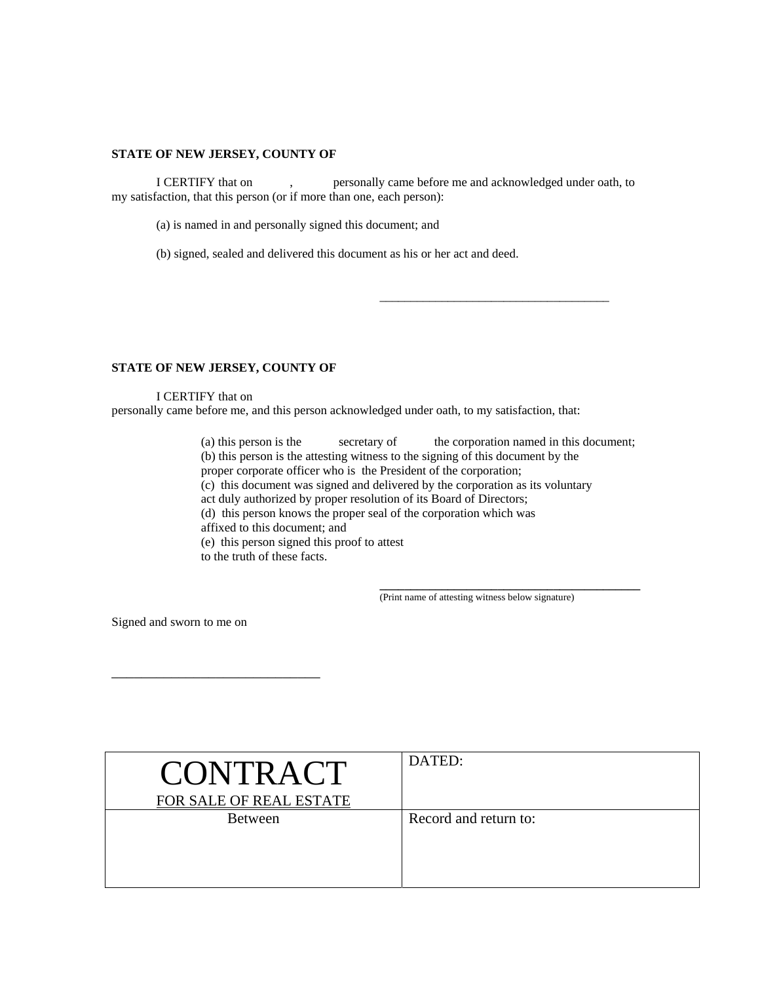#### **STATE OF NEW JERSEY, COUNTY OF**

I CERTIFY that on , personally came before me and acknowledged under oath, to my satisfaction, that this person (or if more than one, each person):

- (a) is named in and personally signed this document; and
- (b) signed, sealed and delivered this document as his or her act and deed.

### **STATE OF NEW JERSEY, COUNTY OF**

#### I CERTIFY that on

personally came before me, and this person acknowledged under oath, to my satisfaction, that:

(a) this person is the secretary of the corporation named in this document; (b) this person is the attesting witness to the signing of this document by the proper corporate officer who is the President of the corporation; (c) this document was signed and delivered by the corporation as its voluntary act duly authorized by proper resolution of its Board of Directors; (d) this person knows the proper seal of the corporation which was affixed to this document; and (e) this person signed this proof to attest to the truth of these facts.

(Print name of attesting witness below signature)

**\_\_\_\_\_\_\_\_\_\_\_\_\_\_\_\_\_\_\_\_\_\_\_\_\_\_\_\_\_\_\_\_\_\_\_\_\_\_\_\_\_\_** 

\_\_\_\_\_\_\_\_\_\_\_\_\_\_\_\_\_\_\_\_\_\_\_\_\_\_\_\_\_\_\_\_\_\_\_\_\_

Signed and sworn to me on

\_\_\_\_\_\_\_\_\_\_\_\_\_\_\_\_\_\_\_\_\_\_\_\_\_\_\_\_

| <b>CONTRACT</b>         | DATED:                |
|-------------------------|-----------------------|
| FOR SALE OF REAL ESTATE |                       |
| <b>Between</b>          | Record and return to: |